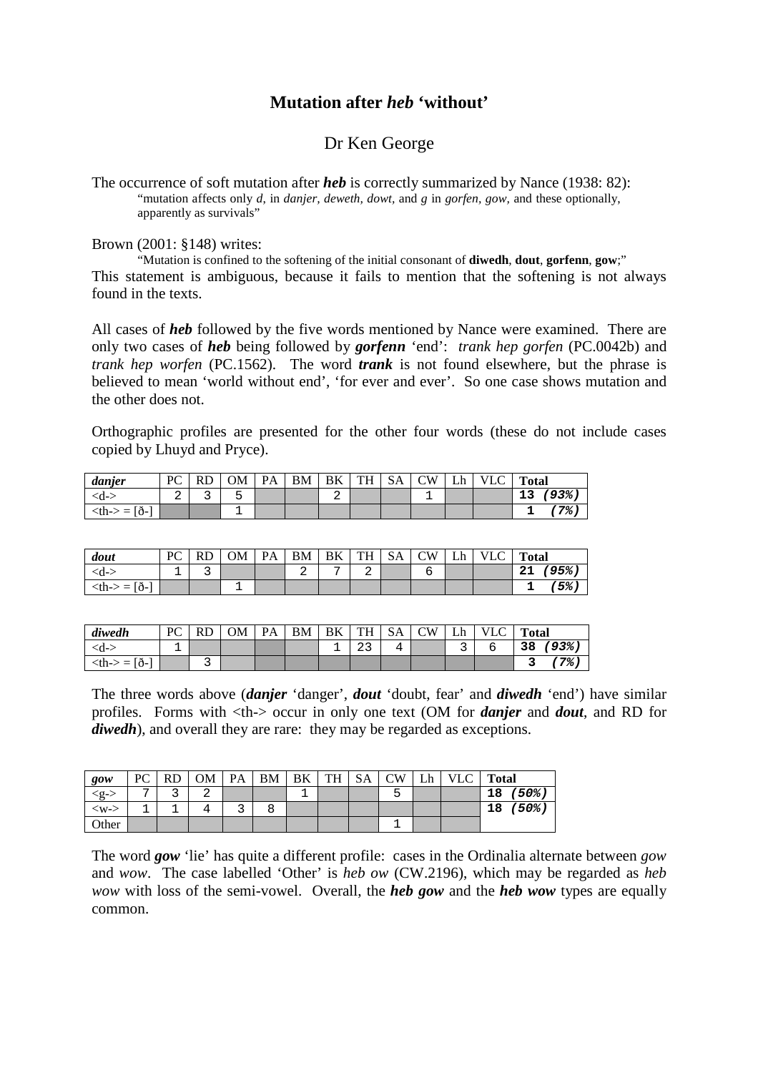## **Mutation after** *heb* **'without'**

## Dr Ken George

The occurrence of soft mutation after *heb* is correctly summarized by Nance (1938: 82): "mutation affects only *d*, in *danjer, deweth, dowt,* and *g* in *gorfen, gow,* and these optionally, apparently as survivals"

Brown (2001: §148) writes:

"Mutation is confined to the softening of the initial consonant of **diwedh**, **dout**, **gorfenn**, **gow**;" This statement is ambiguous, because it fails to mention that the softening is not always found in the texts.

All cases of *heb* followed by the five words mentioned by Nance were examined. There are only two cases of *heb* being followed by *gorfenn* 'end': *trank hep gorfen* (PC.0042b) and *trank hep worfen* (PC.1562). The word *trank* is not found elsewhere, but the phrase is believed to mean 'world without end', 'for ever and ever'. So one case shows mutation and the other does not.

Orthographic profiles are presented for the other four words (these do not include cases copied by Lhuyd and Pryce).

| danjer         | PC |   | ОM | $\mathbf{p}_{\Delta}$ | <b>BM</b> | BK | TH | <b>SA</b> | CW | Lh | VI<br>-LU | <b>Total</b> |
|----------------|----|---|----|-----------------------|-----------|----|----|-----------|----|----|-----------|--------------|
| <d-></d->      | ▵  | ັ | ◡  |                       |           | ▵  |    |           |    |    |           | 93%<br>ᅩ     |
| Ið-<br>$th->=$ |    |   |    |                       |           |    |    |           |    |    |           | ′7%          |

| dout                              | PC | RD | OМ | <b>PA</b> | <b>BM</b> | BK | TH | <b>SA</b> | <b>CW</b> | Lh | VLC - | <b>Total</b>  |
|-----------------------------------|----|----|----|-----------|-----------|----|----|-----------|-----------|----|-------|---------------|
| $\langle d-\rangle$               |    | ے  |    |           | ▵         | -  | ▵  |           |           |    |       | $(95\%$<br>21 |
| $\langle th \rangle = [\delta -]$ |    |    |    |           |           |    |    |           |           |    |       | $5\%$ .       |

| diwedh                                                                                                                                                                                                           | PC |   | OМ | $\mathbf{PA}$ | BM | BK | TH                    | <b>SA</b> | CW | Lh | $\sim$<br><b>VLC</b> | <b>Total</b>   |
|------------------------------------------------------------------------------------------------------------------------------------------------------------------------------------------------------------------|----|---|----|---------------|----|----|-----------------------|-----------|----|----|----------------------|----------------|
| <d-:< td=""><td></td><td></td><td></td><td></td><td></td><td>--</td><td><math>\sim</math> <math>\sim</math><br/>ر ہے</td><td>4<br/>۰</td><td></td><td>ــ</td><td></td><td><math>93\%</math> ,<br/>38</td></d-:<> |    |   |    |               |    | -- | $\sim$ $\sim$<br>ر ہے | 4<br>۰    |    | ــ |                      | $93\%$ ,<br>38 |
| $\langle th \rangle = [\delta -]$                                                                                                                                                                                |    | ے |    |               |    |    |                       |           |    |    |                      | '7%.           |

The three words above (*danjer* 'danger', *dout* 'doubt, fear' and *diwedh* 'end') have similar profiles. Forms with <th-> occur in only one text (OM for *danjer* and *dout*, and RD for *diwedh*), and overall they are rare: they may be regarded as exceptions.

| gow                    | PC | РD | OM | PA | <b>BM</b> | ΒK | <b>TH</b> | SA | $\rm{CW}$ | Lh | <b>VLC</b> | <b>Total</b>   |
|------------------------|----|----|----|----|-----------|----|-----------|----|-----------|----|------------|----------------|
| $\langle$ g- $\rangle$ | −  | ∽  |    |    |           |    |           |    | ∽         |    |            | (50%)<br>18    |
| $<\wedge$              |    |    |    | ے  |           |    |           |    |           |    |            | $(50\%)$<br>18 |
| Other                  |    |    |    |    |           |    |           |    |           |    |            |                |

The word *gow* 'lie' has quite a different profile: cases in the Ordinalia alternate between *gow*  and *wow*. The case labelled 'Other' is *heb ow* (CW.2196), which may be regarded as *heb wow* with loss of the semi-vowel. Overall, the *heb gow* and the *heb wow* types are equally common.